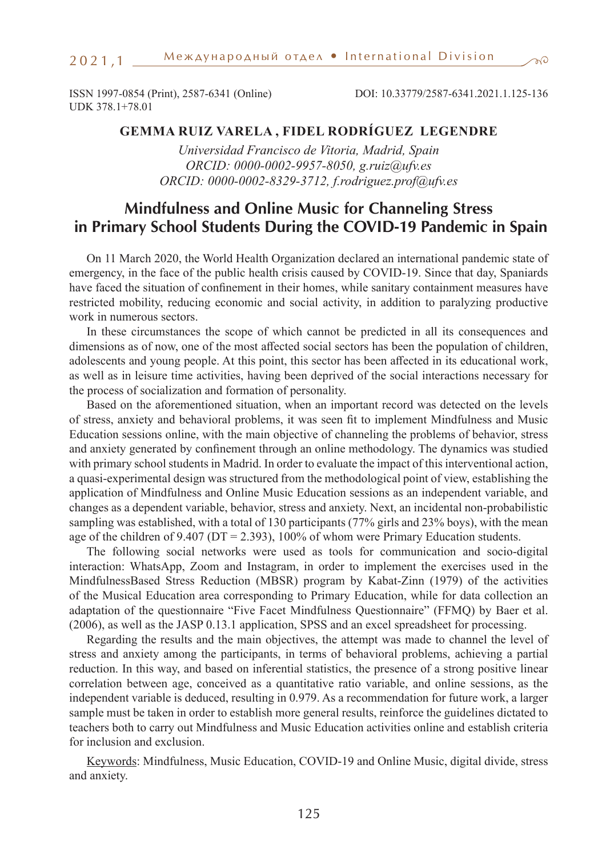#### $2021,1$   $\_$

ISSN 1997-0854 (Print), 2587-6341 (Online) DOI: 10.33779/2587-6341.2021.1.125-136 UDK 378.1+78.01

## **GEMMA RUIZ VARELA , FIDEL RODRÍGUEZ LEGENDRE**

*Universidad Francisco de Vitoria, Madrid, Spain ORCID: 0000-0002-9957-8050, g.ruiz@ufv.es ORCID: 0000-0002-8329-3712, f.rodriguez.prof@ufv.es* 

# **Mindfulness and Online Music for Channeling Stress in Primary School Students During the COVID-19 Pandemic in Spain**

On 11 March 2020, the World Health Organization declared an international pandemic state of emergency, in the face of the public health crisis caused by COVID-19. Since that day, Spaniards have faced the situation of confinement in their homes, while sanitary containment measures have restricted mobility, reducing economic and social activity, in addition to paralyzing productive work in numerous sectors.

In these circumstances the scope of which cannot be predicted in all its consequences and dimensions as of now, one of the most affected social sectors has been the population of children, adolescents and young people. At this point, this sector has been affected in its educational work, as well as in leisure time activities, having been deprived of the social interactions necessary for the process of socialization and formation of personality.

Based on the aforementioned situation, when an important record was detected on the levels of stress, anxiety and behavioral problems, it was seen fit to implement Mindfulness and Music Education sessions online, with the main objective of channeling the problems of behavior, stress and anxiety generated by confinement through an online methodology. The dynamics was studied with primary school students in Madrid. In order to evaluate the impact of this interventional action, a quasi-experimental design was structured from the methodological point of view, establishing the application of Mindfulness and Online Music Education sessions as an independent variable, and changes as a dependent variable, behavior, stress and anxiety. Next, an incidental non-probabilistic sampling was established, with a total of 130 participants (77% girls and 23% boys), with the mean age of the children of 9.407 ( $DT = 2.393$ ), 100% of whom were Primary Education students.

The following social networks were used as tools for communication and socio-digital interaction: WhatsApp, Zoom and Instagram, in order to implement the exercises used in the MindfulnessBased Stress Reduction (MBSR) program by Kabat-Zinn (1979) of the activities of the Musical Education area corresponding to Primary Education, while for data collection an adaptation of the questionnaire "Five Facet Mindfulness Questionnaire" (FFMQ) by Baer et al. (2006), as well as the JASP 0.13.1 application, SPSS and an excel spreadsheet for processing.

Regarding the results and the main objectives, the attempt was made to channel the level of stress and anxiety among the participants, in terms of behavioral problems, achieving a partial reduction. In this way, and based on inferential statistics, the presence of a strong positive linear correlation between age, conceived as a quantitative ratio variable, and online sessions, as the independent variable is deduced, resulting in 0.979. As a recommendation for future work, a larger sample must be taken in order to establish more general results, reinforce the guidelines dictated to teachers both to carry out Mindfulness and Music Education activities online and establish criteria for inclusion and exclusion.

Keywords: Mindfulness, Music Education, COVID-19 and Online Music, digital divide, stress and anxiety.

 $\pi c$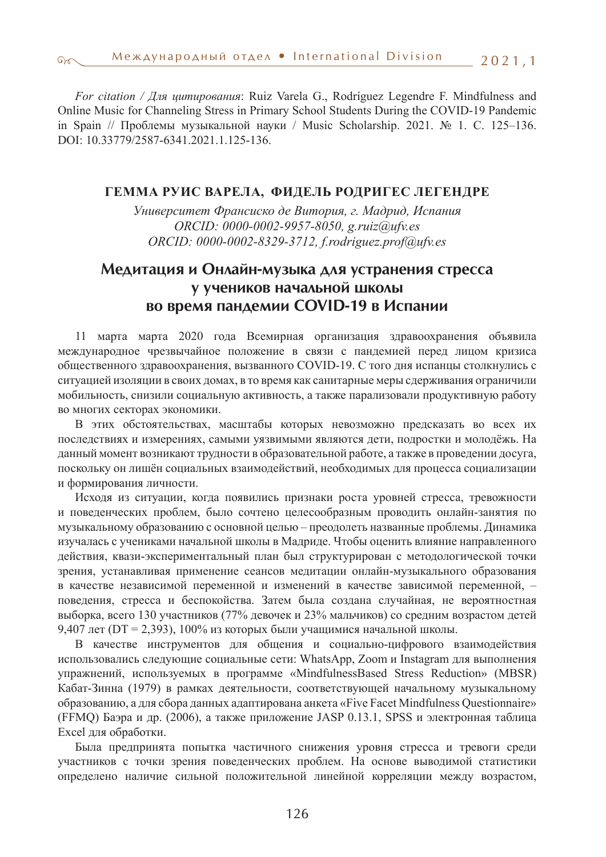*For citation / Для цитирования*: Ruiz Varela G., Rodríguez Legendre F. Mindfulness and Online Music for Channeling Stress in Primary School Students During the COVID-19 Pandemic in Spain // Проблемы музыкальной науки / Music Scholarship. 2021. № 1. С. 125–136. DOI: 10.33779/2587-6341.2021.1.125-136.

#### **ГЕММА РУИС ВАРЕЛА, ФИДЕЛЬ РОДРИГЕС ЛЕГЕНДРЕ**

*Университет Франсиско де Витория, г. Мадрид, Испания ORCID: 0000-0002-9957-8050, g.ruiz@ufv.es ORCID: 0000-0002-8329-3712, f.rodriguez.prof@ufv.es*

# **Медитация и Онлайн-музыка для устранения стресса у учеников начальной школы во время пандемии COVID-19 в Испании**

11 марта марта 2020 года Всемирная организация здравоохранения объявила международное чрезвычайное положение в связи с пандемией перед лицом кризиса общественного здравоохранения, вызванного COVID-19. С того дня испанцы столкнулись с ситуацией изоляции в своих домах, в то время как санитарные меры сдерживания ограничили мобильность, снизили социальную активность, а также парализовали продуктивную работу во многих секторах экономики.

В этих обстоятельствах, масштабы которых невозможно предсказать во всех их последствиях и измерениях, самыми уязвимыми являются дети, подростки и молодёжь. На данный момент возникают трудности в образовательной работе, а также в проведении досуга, поскольку он лишён социальных взаимодействий, необходимых для процесса социализации и формирования личности.

Исходя из ситуации, когда появились признаки роста уровней стресса, тревожности и поведенческих проблем, было сочтено целесообразным проводить онлайн-занятия по музыкальному образованию с основной целью – преодолеть названные проблемы. Динамика изучалась с учениками начальной школы в Мадриде. Чтобы оценить влияние направленного действия, квази-экспериментальный план был структурирован с методологической точки зрения, устанавливая применение сеансов медитации онлайн-музыкального образования в качестве независимой переменной и изменений в качестве зависимой переменной, – поведения, стресса и беспокойства. Затем была создана случайная, не вероятностная выборка, всего 130 участников (77% девочек и 23% мальчиков) со средним возрастом детей 9,407 лет (DT = 2,393), 100% из которых были учащимися начальной школы.

В качестве инструментов для общения и социально-цифрового взаимодействия использовались следующие социальные сети: WhatsApp, Zoom и Instagram для выполнения упражнений, используемых в программе «MindfulnessBased Stress Reduction» (MBSR) Кабат-Зинна (1979) в рамках деятельности, соответствующей начальному музыкальному образованию, а для сбора данных адаптирована анкета «Five Facet Mindfulness Questionnaire» (FFMQ) Баэра и др. (2006), а также приложение JASP 0.13.1, SPSS и электронная таблица Excel для обработки.

Была предпринята попытка частичного снижения уровня стресса и тревоги среди участников с точки зрения поведенческих проблем. На основе выводимой статистики определено наличие сильной положительной линейной корреляции между возрастом,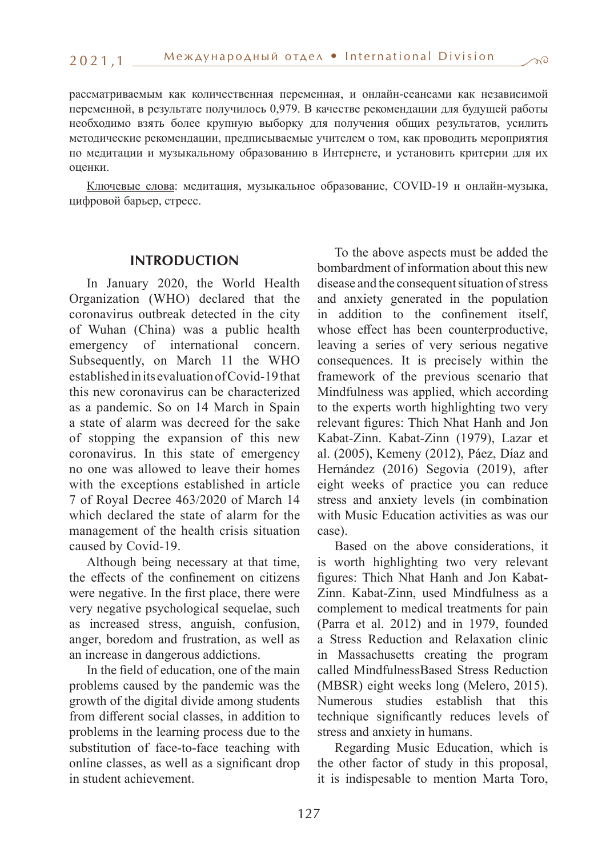$\pi c$ 

рассматриваемым как количественная переменная, и онлайн-сеансами как независимой переменной, в результате получилось 0,979. В качестве рекомендации для будущей работы необходимо взять более крупную выборку для получения общих результатов, усилить методические рекомендации, предписываемые учителем о том, как проводить мероприятия по медитации и музыкальному образованию в Интернете, и установить критерии для их оценки.

Ключевые слова: медитация, музыкальное образование, COVID-19 и онлайн-музыка, цифровой барьер, стресс.

#### **INTRODUCTION**

In January 2020, the World Health Organization (WHO) declared that the coronavirus outbreak detected in the city of Wuhan (China) was a public health emergency of international concern. Subsequently, on March 11 the WHO established in its evaluation of Covid-19 that this new coronavirus can be characterized as a pandemic. So on 14 March in Spain a state of alarm was decreed for the sake of stopping the expansion of this new coronavirus. In this state of emergency no one was allowed to leave their homes with the exceptions established in article 7 of Royal Decree 463/2020 of March 14 which declared the state of alarm for the management of the health crisis situation caused by Covid-19.

Although being necessary at that time, the effects of the confinement on citizens were negative. In the first place, there were very negative psychological sequelae, such as increased stress, anguish, confusion, anger, boredom and frustration, as well as an increase in dangerous addictions.

In the field of education, one of the main problems caused by the pandemic was the growth of the digital divide among students from different social classes, in addition to problems in the learning process due to the substitution of face-to-face teaching with online classes, as well as a significant drop in student achievement.

To the above aspects must be added the bombardment of information about this new disease and the consequent situation of stress and anxiety generated in the population in addition to the confinement itself, whose effect has been counterproductive, leaving a series of very serious negative consequences. It is precisely within the framework of the previous scenario that Mindfulness was applied, which according to the experts worth highlighting two very relevant figures: Thich Nhat Hanh and Jon Kabat-Zinn. Kabat-Zinn (1979), Lazar et al. (2005), Kemeny (2012), Páez, Díaz and Hernández (2016) Segovia (2019), after eight weeks of practice you can reduce stress and anxiety levels (in combination with Music Education activities as was our case).

Based on the above considerations, it is worth highlighting two very relevant figures: Thich Nhat Hanh and Jon Kabat-Zinn. Kabat-Zinn, used Mindfulness as a complement to medical treatments for pain (Parra et al. 2012) and in 1979, founded a Stress Reduction and Relaxation clinic in Massachusetts creating the program called MindfulnessBased Stress Reduction (MBSR) eight weeks long (Melero, 2015). Numerous studies establish that this technique significantly reduces levels of stress and anxiety in humans.

Regarding Music Education, which is the other factor of study in this proposal, it is indispesable to mention Marta Toro,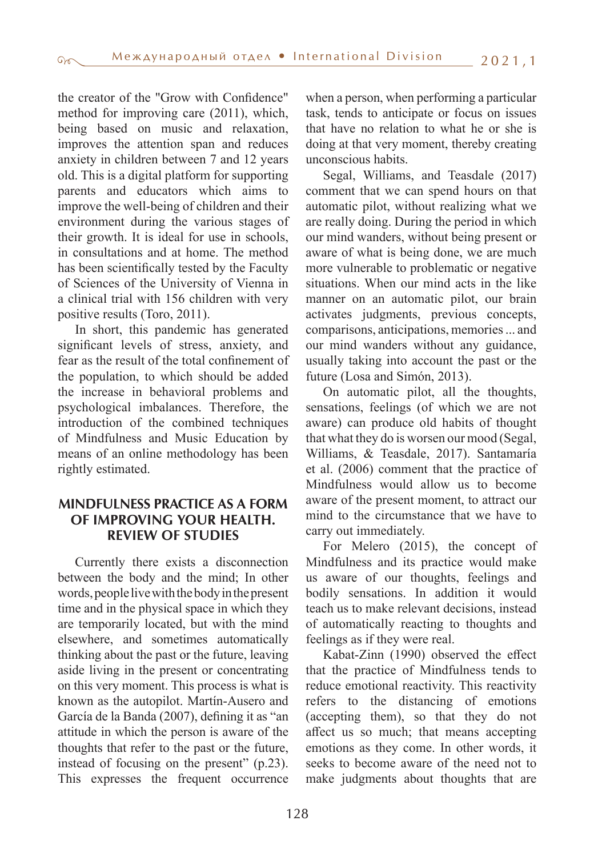the creator of the "Grow with Confidence" method for improving care (2011), which, being based on music and relaxation, improves the attention span and reduces anxiety in children between 7 and 12 years old. This is a digital platform for supporting parents and educators which aims to improve the well-being of children and their environment during the various stages of their growth. It is ideal for use in schools, in consultations and at home. The method has been scientifically tested by the Faculty of Sciences of the University of Vienna in a clinical trial with 156 children with very positive results (Toro, 2011).

In short, this pandemic has generated significant levels of stress, anxiety, and fear as the result of the total confinement of the population, to which should be added the increase in behavioral problems and psychological imbalances. Therefore, the introduction of the combined techniques of Mindfulness and Music Education by means of an online methodology has been rightly estimated.

## **MINDFULNESS PRACTICE AS A FORM OF IMPROVING YOUR HEALTH. REVIEW OF STUDIES**

Currently there exists a disconnection between the body and the mind; In other words, people live with the body in the present time and in the physical space in which they are temporarily located, but with the mind elsewhere, and sometimes automatically thinking about the past or the future, leaving aside living in the present or concentrating on this very moment. This process is what is known as the autopilot. Martín-Ausero and García de la Banda (2007), defining it as "an attitude in which the person is aware of the thoughts that refer to the past or the future, instead of focusing on the present" (p.23). This expresses the frequent occurrence

when a person, when performing a particular task, tends to anticipate or focus on issues that have no relation to what he or she is doing at that very moment, thereby creating unconscious habits.

Segal, Williams, and Teasdale (2017) comment that we can spend hours on that automatic pilot, without realizing what we are really doing. During the period in which our mind wanders, without being present or aware of what is being done, we are much more vulnerable to problematic or negative situations. When our mind acts in the like manner on an automatic pilot, our brain activates judgments, previous concepts, comparisons, anticipations, memories ... and our mind wanders without any guidance, usually taking into account the past or the future (Losa and Simón, 2013).

On automatic pilot, all the thoughts, sensations, feelings (of which we are not aware) can produce old habits of thought that what they do is worsen our mood (Segal, Williams, & Teasdale, 2017). Santamaría et al. (2006) comment that the practice of Mindfulness would allow us to become aware of the present moment, to attract our mind to the circumstance that we have to carry out immediately.

For Melero (2015), the concept of Mindfulness and its practice would make us aware of our thoughts, feelings and bodily sensations. In addition it would teach us to make relevant decisions, instead of automatically reacting to thoughts and feelings as if they were real.

Kabat-Zinn (1990) observed the effect that the practice of Mindfulness tends to reduce emotional reactivity. This reactivity refers to the distancing of emotions (accepting them), so that they do not affect us so much; that means accepting emotions as they come. In other words, it seeks to become aware of the need not to make judgments about thoughts that are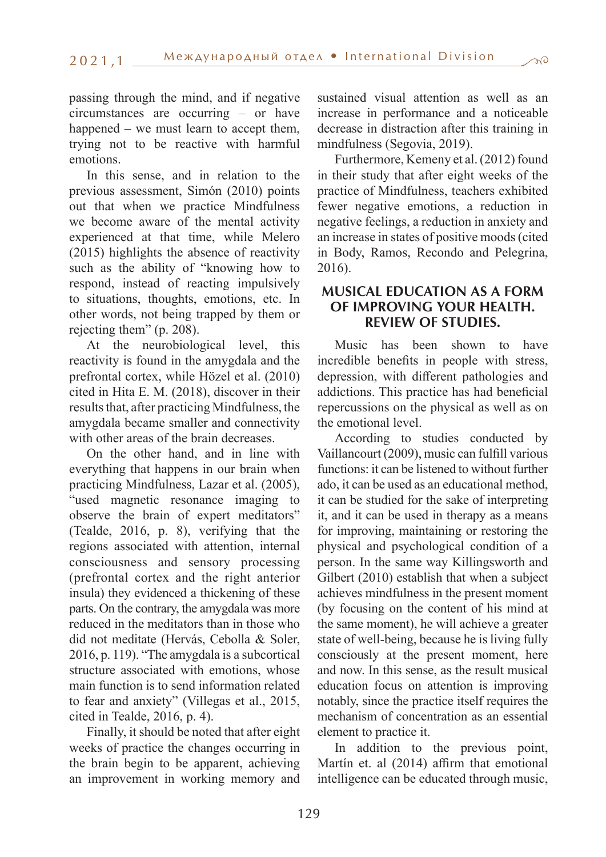passing through the mind, and if negative circumstances are occurring – or have happened – we must learn to accept them, trying not to be reactive with harmful emotions.

In this sense, and in relation to the previous assessment, Simón (2010) points out that when we practice Mindfulness we become aware of the mental activity experienced at that time, while Melero (2015) highlights the absence of reactivity such as the ability of "knowing how to respond, instead of reacting impulsively to situations, thoughts, emotions, etc. In other words, not being trapped by them or rejecting them" (p. 208).

At the neurobiological level, this reactivity is found in the amygdala and the prefrontal cortex, while Hözel et al. (2010) cited in Hita E. M. (2018), discover in their results that, after practicing Mindfulness, the amygdala became smaller and connectivity with other areas of the brain decreases.

On the other hand, and in line with everything that happens in our brain when practicing Mindfulness, Lazar et al. (2005), "used magnetic resonance imaging to observe the brain of expert meditators" (Tealde, 2016, p. 8), verifying that the regions associated with attention, internal consciousness and sensory processing (prefrontal cortex and the right anterior insula) they evidenced a thickening of these parts. On the contrary, the amygdala was more reduced in the meditators than in those who did not meditate (Hervás, Cebolla & Soler, 2016, p. 119). "The amygdala is a subcortical structure associated with emotions, whose main function is to send information related to fear and anxiety" (Villegas et al., 2015, cited in Tealde, 2016, p. 4).

Finally, it should be noted that after eight weeks of practice the changes occurring in the brain begin to be apparent, achieving an improvement in working memory and sustained visual attention as well as an increase in performance and a noticeable decrease in distraction after this training in mindfulness (Segovia, 2019).

Furthermore, Kemeny et al. (2012) found in their study that after eight weeks of the practice of Mindfulness, teachers exhibited fewer negative emotions, a reduction in negative feelings, a reduction in anxiety and an increase in states of positive moods (cited in Body, Ramos, Recondo and Pelegrina, 2016).

## **MUSICAL EDUCATION AS A FORM OF IMPROVING YOUR HEALTH. REVIEW OF STUDIES.**

Music has been shown to have incredible benefits in people with stress, depression, with different pathologies and addictions. This practice has had beneficial repercussions on the physical as well as on the emotional level.

According to studies conducted by Vaillancourt (2009), music can fulfill various functions: it can be listened to without further ado, it can be used as an educational method, it can be studied for the sake of interpreting it, and it can be used in therapy as a means for improving, maintaining or restoring the physical and psychological condition of a person. In the same way Killingsworth and Gilbert (2010) establish that when a subject achieves mindfulness in the present moment (by focusing on the content of his mind at the same moment), he will achieve a greater state of well-being, because he is living fully consciously at the present moment, here and now. In this sense, as the result musical education focus on attention is improving notably, since the practice itself requires the mechanism of concentration as an essential element to practice it.

In addition to the previous point, Martín et. al (2014) affirm that emotional intelligence can be educated through music,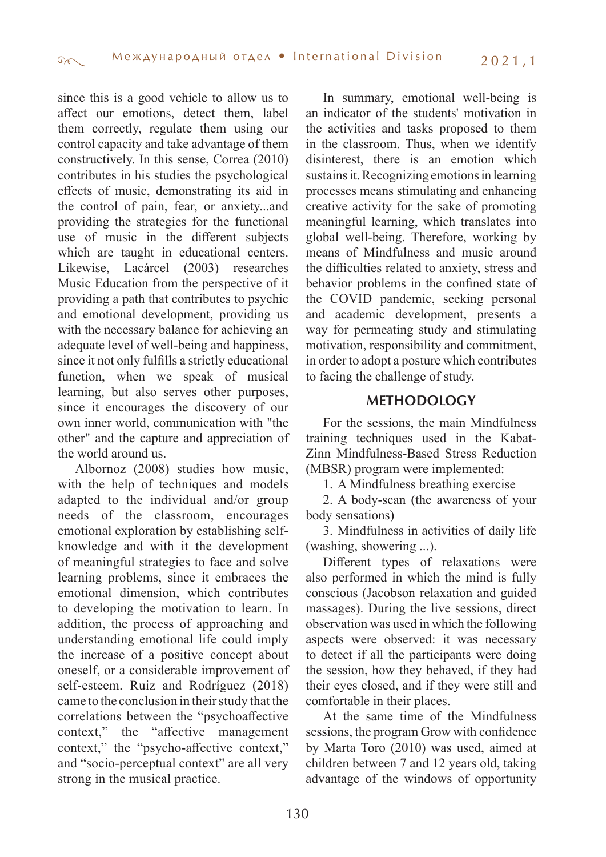since this is a good vehicle to allow us to affect our emotions, detect them, label them correctly, regulate them using our control capacity and take advantage of them constructively. In this sense, Correa (2010) contributes in his studies the psychological effects of music, demonstrating its aid in the control of pain, fear, or anxiety...and providing the strategies for the functional use of music in the different subjects which are taught in educational centers. Likewise, Lacárcel (2003) researches Music Education from the perspective of it providing a path that contributes to psychic and emotional development, providing us with the necessary balance for achieving an adequate level of well-being and happiness, since it not only fulfills a strictly educational function, when we speak of musical learning, but also serves other purposes, since it encourages the discovery of our own inner world, communication with "the other" and the capture and appreciation of the world around us.

Albornoz (2008) studies how music, with the help of techniques and models adapted to the individual and/or group needs of the classroom, encourages emotional exploration by establishing selfknowledge and with it the development of meaningful strategies to face and solve learning problems, since it embraces the emotional dimension, which contributes to developing the motivation to learn. In addition, the process of approaching and understanding emotional life could imply the increase of a positive concept about oneself, or a considerable improvement of self-esteem. Ruiz and Rodríguez (2018) came to the conclusion in their study that the correlations between the "psychoaffective context," the "affective management context," the "psycho-affective context," and "socio-perceptual context" are all very strong in the musical practice.

In summary, emotional well-being is an indicator of the students' motivation in the activities and tasks proposed to them in the classroom. Thus, when we identify disinterest, there is an emotion which sustains it. Recognizing emotions in learning processes means stimulating and enhancing creative activity for the sake of promoting meaningful learning, which translates into global well-being. Therefore, working by means of Mindfulness and music around the difficulties related to anxiety, stress and behavior problems in the confined state of the COVID pandemic, seeking personal and academic development, presents a way for permeating study and stimulating motivation, responsibility and commitment, in order to adopt a posture which contributes to facing the challenge of study.

## **METHODOLOGY**

For the sessions, the main Mindfulness training techniques used in the Kabat-Zinn Mindfulness-Based Stress Reduction (MBSR) program were implemented:

1. A Mindfulness breathing exercise

2. A body-scan (the awareness of your body sensations)

3. Mindfulness in activities of daily life (washing, showering ...).

Different types of relaxations were also performed in which the mind is fully conscious (Jacobson relaxation and guided massages). During the live sessions, direct observation was used in which the following aspects were observed: it was necessary to detect if all the participants were doing the session, how they behaved, if they had their eyes closed, and if they were still and comfortable in their places.

At the same time of the Mindfulness sessions, the program Grow with confidence by Marta Toro (2010) was used, aimed at children between 7 and 12 years old, taking advantage of the windows of opportunity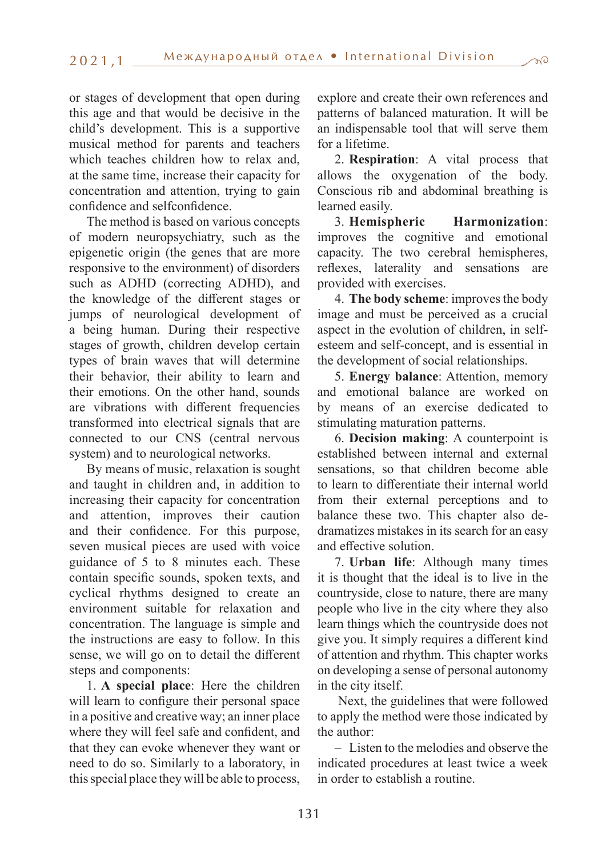or stages of development that open during this age and that would be decisive in the child's development. This is a supportive musical method for parents and teachers which teaches children how to relax and, at the same time, increase their capacity for concentration and attention, trying to gain confidence and selfconfidence.

The method is based on various concepts of modern neuropsychiatry, such as the epigenetic origin (the genes that are more responsive to the environment) of disorders such as ADHD (correcting ADHD), and the knowledge of the different stages or jumps of neurological development of a being human. During their respective stages of growth, children develop certain types of brain waves that will determine their behavior, their ability to learn and their emotions. On the other hand, sounds are vibrations with different frequencies transformed into electrical signals that are connected to our CNS (central nervous system) and to neurological networks.

By means of music, relaxation is sought and taught in children and, in addition to increasing their capacity for concentration and attention, improves their caution and their confidence. For this purpose, seven musical pieces are used with voice guidance of 5 to 8 minutes each. These contain specific sounds, spoken texts, and cyclical rhythms designed to create an environment suitable for relaxation and concentration. The language is simple and the instructions are easy to follow. In this sense, we will go on to detail the different steps and components:

1. **A special place**: Here the children will learn to configure their personal space in a positive and creative way; an inner place where they will feel safe and confident, and that they can evoke whenever they want or need to do so. Similarly to a laboratory, in this special place they will be able to process,

explore and create their own references and patterns of balanced maturation. It will be an indispensable tool that will serve them for a lifetime.

2. **Respiration**: A vital process that allows the oxygenation of the body. Conscious rib and abdominal breathing is learned easily.

3. **Hemispheric Harmonization**: improves the cognitive and emotional capacity. The two cerebral hemispheres, reflexes, laterality and sensations are provided with exercises.

4. **The body scheme**: improves the body image and must be perceived as a crucial aspect in the evolution of children, in selfesteem and self-concept, and is essential in the development of social relationships.

5. **Energy balance**: Attention, memory and emotional balance are worked on by means of an exercise dedicated to stimulating maturation patterns.

6. **Decision making**: A counterpoint is established between internal and external sensations, so that children become able to learn to differentiate their internal world from their external perceptions and to balance these two. This chapter also dedramatizes mistakes in its search for an easy and effective solution.

7. **Urban life**: Although many times it is thought that the ideal is to live in the countryside, close to nature, there are many people who live in the city where they also learn things which the countryside does not give you. It simply requires a different kind of attention and rhythm. This chapter works on developing a sense of personal autonomy in the city itself.

 Next, the guidelines that were followed to apply the method were those indicated by the author:

– Listen to the melodies and observe the indicated procedures at least twice a week in order to establish a routine.

 $\pi c$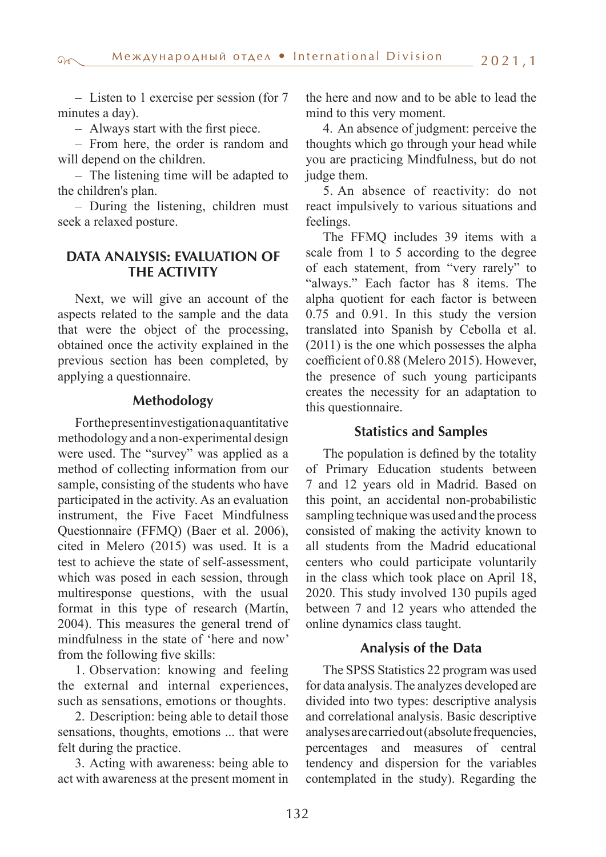– Listen to 1 exercise per session (for 7 minutes a day).

– Always start with the first piece.

– From here, the order is random and will depend on the children.

– The listening time will be adapted to the children's plan.

– During the listening, children must seek a relaxed posture.

## **DATA ANALYSIS: EVALUATION OF THE ACTIVITY**

Next, we will give an account of the aspects related to the sample and the data that were the object of the processing, obtained once the activity explained in the previous section has been completed, by applying a questionnaire.

## **Methodology**

For the present investigation a quantitative methodology and a non-experimental design were used. The "survey" was applied as a method of collecting information from our sample, consisting of the students who have participated in the activity. As an evaluation instrument, the Five Facet Mindfulness Questionnaire (FFMQ) (Baer et al. 2006), cited in Melero (2015) was used. It is a test to achieve the state of self-assessment, which was posed in each session, through multiresponse questions, with the usual format in this type of research (Martín, 2004). This measures the general trend of mindfulness in the state of 'here and now' from the following five skills:

1. Observation: knowing and feeling the external and internal experiences, such as sensations, emotions or thoughts.

2. Description: being able to detail those sensations, thoughts, emotions ... that were felt during the practice.

3. Acting with awareness: being able to act with awareness at the present moment in the here and now and to be able to lead the mind to this very moment.

4. An absence of judgment: perceive the thoughts which go through your head while you are practicing Mindfulness, but do not judge them.

5. An absence of reactivity: do not react impulsively to various situations and feelings.

The FFMQ includes 39 items with a scale from 1 to 5 according to the degree of each statement, from "very rarely" to "always." Each factor has 8 items. The alpha quotient for each factor is between 0.75 and 0.91. In this study the version translated into Spanish by Cebolla et al. (2011) is the one which possesses the alpha coefficient of 0.88 (Melero 2015). However, the presence of such young participants creates the necessity for an adaptation to this questionnaire.

### **Statistics and Samples**

The population is defined by the totality of Primary Education students between 7 and 12 years old in Madrid. Based on this point, an accidental non-probabilistic sampling technique was used and the process consisted of making the activity known to all students from the Madrid educational centers who could participate voluntarily in the class which took place on April 18, 2020. This study involved 130 pupils aged between 7 and 12 years who attended the online dynamics class taught.

## **Analysis of the Data**

The SPSS Statistics 22 program was used for data analysis. The analyzes developed are divided into two types: descriptive analysis and correlational analysis. Basic descriptive analyses are carried out (absolute frequencies, percentages and measures of central tendency and dispersion for the variables contemplated in the study). Regarding the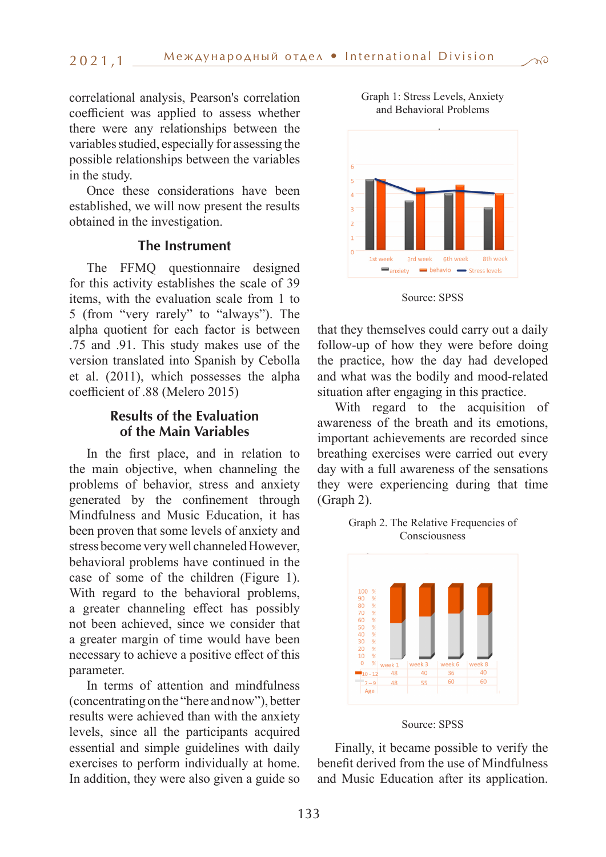correlational analysis, Pearson's correlation coefficient was applied to assess whether there were any relationships between the variables studied, especially for assessing the possible relationships between the variables in the study.

Once these considerations have been established, we will now present the results obtained in the investigation.

#### **The Instrument**

The FFMQ questionnaire designed for this activity establishes the scale of 39 items, with the evaluation scale from 1 to 5 (from "very rarely" to "always"). The alpha quotient for each factor is between .75 and .91. This study makes use of the version translated into Spanish by Cebolla et al. (2011), which possesses the alpha coefficient of .88 (Melero 2015)

## **Results of the Evaluation of the Main Variables**

In the first place, and in relation to the main objective, when channeling the problems of behavior, stress and anxiety generated by the confinement through Mindfulness and Music Education, it has been proven that some levels of anxiety and stress become very well channeled However, behavioral problems have continued in the case of some of the children (Figure 1). With regard to the behavioral problems, a greater channeling effect has possibly not been achieved, since we consider that a greater margin of time would have been necessary to achieve a positive effect of this parameter.

In terms of attention and mindfulness (concentrating on the "here and now"), better results were achieved than with the anxiety levels, since all the participants acquired essential and simple guidelines with daily exercises to perform individually at home. In addition, they were also given a guide so



Graph 1: Stress Levels, Anxiety and Behavioral Problems



that they themselves could carry out a daily follow-up of how they were before doing the practice, how the day had developed and what was the bodily and mood-related situation after engaging in this practice.

With regard to the acquisition of awareness of the breath and its emotions, important achievements are recorded since breathing exercises were carried out every day with a full awareness of the sensations they were experiencing during that time (Graph 2).



Graph 2. The Relative Frequencies of Consciousness

Finally, it became possible to verify the benefit derived from the use of Mindfulness and Music Education after its application.

Source: SPSS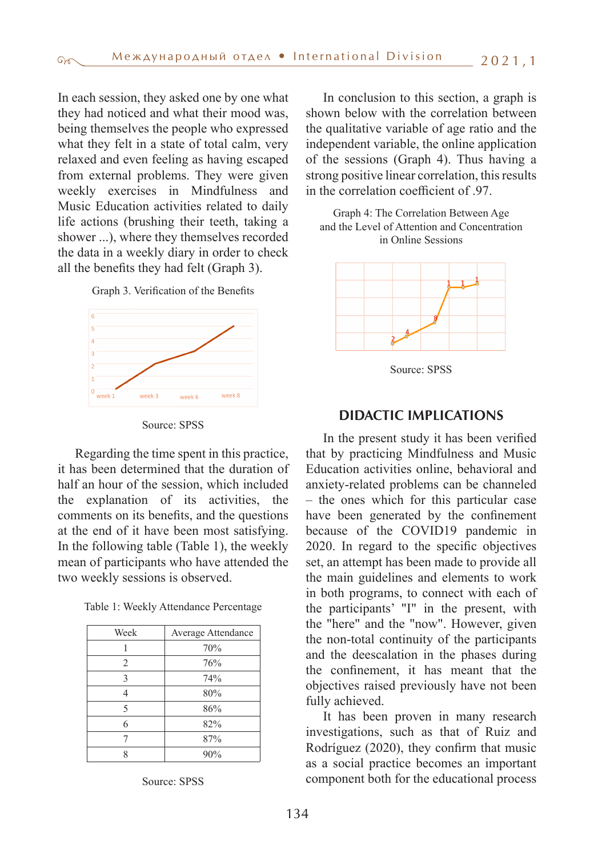In each session, they asked one by one what they had noticed and what their mood was, being themselves the people who expressed what they felt in a state of total calm, very relaxed and even feeling as having escaped from external problems. They were given weekly exercises in Mindfulness and Music Education activities related to daily life actions (brushing their teeth, taking a shower ...), where they themselves recorded the data in a weekly diary in order to check all the benefits they had felt (Graph 3).

Graph 3. Verification of the Benefits



Source: SPSS

Regarding the time spent in this practice, it has been determined that the duration of half an hour of the session, which included the explanation of its activities, the comments on its benefits, and the questions at the end of it have been most satisfying. In the following table (Table 1), the weekly mean of participants who have attended the two weekly sessions is observed.

Table 1: Weekly Attendance Percentage

| Week | Average Attendance |
|------|--------------------|
|      | 70%                |
| 2    | 76%                |
| 3    | 74%                |
|      | 80%                |
| 5    | 86%                |
| 6    | 82%                |
|      | 87%                |
|      | 90%                |

Source: SPSS

In conclusion to this section, a graph is shown below with the correlation between the qualitative variable of age ratio and the independent variable, the online application of the sessions (Graph 4). Thus having a strong positive linear correlation, this results in the correlation coefficient of .97.





Source: SPSS

### **DIDACTIC IMPLICATIONS**

In the present study it has been verified that by practicing Mindfulness and Music Education activities online, behavioral and anxiety-related problems can be channeled – the ones which for this particular case have been generated by the confinement because of the COVID19 pandemic in 2020. In regard to the specific objectives set, an attempt has been made to provide all the main guidelines and elements to work in both programs, to connect with each of the participants' "I" in the present, with the "here" and the "now". However, given the non-total continuity of the participants and the deescalation in the phases during the confinement, it has meant that the objectives raised previously have not been fully achieved.

It has been proven in many research investigations, such as that of Ruiz and Rodríguez (2020), they confirm that music as a social practice becomes an important component both for the educational process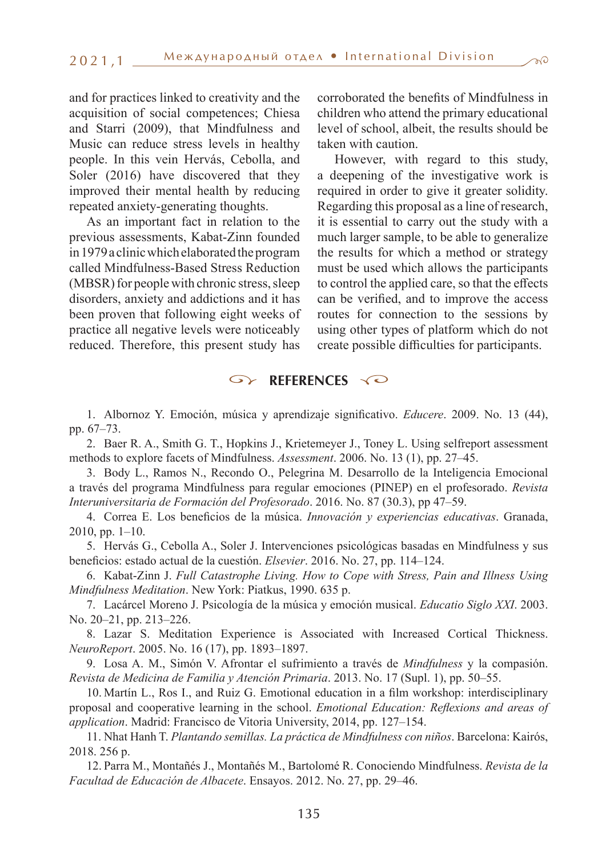and for practices linked to creativity and the acquisition of social competences; Chiesa and Starri (2009), that Mindfulness and Music can reduce stress levels in healthy people. In this vein Hervás, Cebolla, and Soler (2016) have discovered that they improved their mental health by reducing repeated anxiety-generating thoughts.

As an important fact in relation to the previous assessments, Kabat-Zinn founded in 1979 a clinic which elaborated the program called Mindfulness-Based Stress Reduction (MBSR) for people with chronic stress, sleep disorders, anxiety and addictions and it has been proven that following eight weeks of practice all negative levels were noticeably reduced. Therefore, this present study has

corroborated the benefits of Mindfulness in children who attend the primary educational level of school, albeit, the results should be taken with caution.

However, with regard to this study, a deepening of the investigative work is required in order to give it greater solidity. Regarding this proposal as a line of research, it is essential to carry out the study with a much larger sample, to be able to generalize the results for which a method or strategy must be used which allows the participants to control the applied care, so that the effects can be verified, and to improve the access routes for connection to the sessions by using other types of platform which do not create possible difficulties for participants.

#### $\infty$ **REFERENCES**

1. Albornoz Y. Emoción, música y aprendizaje significativo. *Educere*. 2009. No. 13 (44), pp. 67–73.

2. Baer R. A., Smith G. T., Hopkins J., Krietemeyer J., Toney L. Using selfreport assessment methods to explore facets of Mindfulness. *Assessment*. 2006. No. 13 (1), pp. 27–45.

3. Body L., Ramos N., Recondo O., Pelegrina M. Desarrollo de la Inteligencia Emocional a través del programa Mindfulness para regular emociones (PINEP) en el profesorado. *Revista Interuniversitaria de Formación del Profesorado*. 2016. No. 87 (30.3), pp 47–59.

4. Correa E. Los beneficios de la música. *Innovación y experiencias educativas*. Granada, 2010, pp. 1–10.

5. Hervás G., Cebolla A., Soler J. Intervenciones psicológicas basadas en Mindfulness y sus beneficios: estado actual de la cuestión. *Elsevier*. 2016. No. 27, pp. 114–124.

6. Kabat-Zinn J. *Full Catastrophe Living. How to Cope with Stress, Pain and Illness Using Mindfulness Meditation*. New York: Piatkus, 1990. 635 p.

7. Lacárcel Moreno J. Psicología de la música y emoción musical. *Educatio Siglo XXI*. 2003. No. 20–21, pp. 213–226.

8. Lazar S. Meditation Experience is Associated with Increased Cortical Thickness. *NeuroReport*. 2005. No. 16 (17), pp. 1893–1897.

9. Losa A. M., Simón V. Afrontar el sufrimiento a través de *Mindfulness* y la compasión. *Revista de Medicina de Familia y Atención Primaria*. 2013. No. 17 (Supl. 1), pp. 50–55.

10. Martín L., Ros I., and Ruiz G. Emotional education in a film workshop: interdisciplinary proposal and cooperative learning in the school. *Emotional Education: Reflexions and areas of application*. Madrid: Francisco de Vitoria University, 2014, pp. 127–154.

11. Nhat Hanh T. *Plantando semillas. La práctica de Mindfulness con niños*. Barcelona: Kairós, 2018. 256 p.

12. Parra M., Montañés J., Montañés M., Bartolomé R. Conociendo Mindfulness. *Revista de la Facultad de Educación de Albacete*. Ensayos. 2012. No. 27, pp. 29–46.